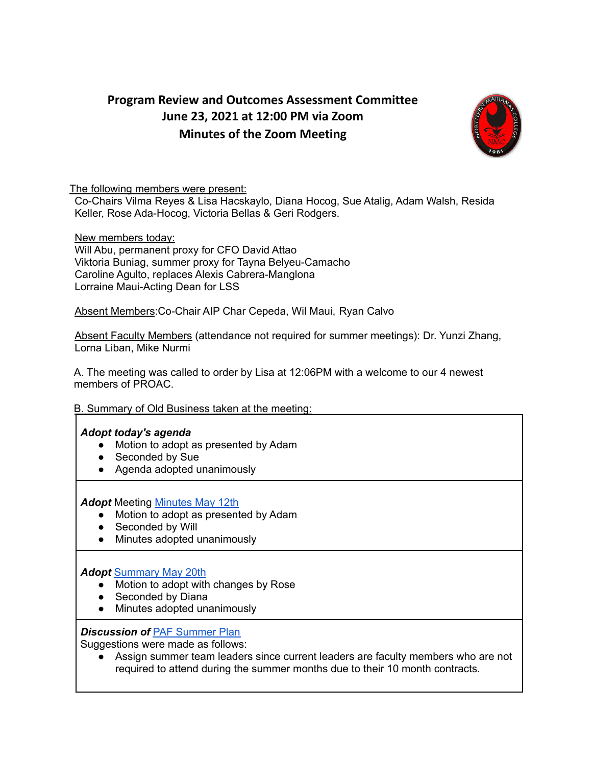# **Program Review and Outcomes Assessment Committee June 23, 2021 at 12:00 PM via Zoom Minutes of the Zoom Meeting**



#### The following members were present:

Co-Chairs Vilma Reyes & Lisa Hacskaylo, Diana Hocog, Sue Atalig, Adam Walsh, Resida Keller, Rose Ada-Hocog, Victoria Bellas & Geri Rodgers.

New members today: Will Abu, permanent proxy for CFO David Attao Viktoria Buniag, summer proxy for Tayna Belyeu-Camacho Caroline Agulto, replaces Alexis Cabrera-Manglona Lorraine Maui-Acting Dean for LSS

Absent Members:Co-Chair AIP Char Cepeda, Wil Maui, Ryan Calvo

Absent Faculty Members (attendance not required for summer meetings): Dr. Yunzi Zhang, Lorna Liban, Mike Nurmi

A. The meeting was called to order by Lisa at 12:06PM with a welcome to our 4 newest members of PROAC.

# B. Summary of Old Business taken at the meeting:

#### *Adopt today's agenda*

- Motion to adopt as presented by Adam
- Seconded by Sue
- Agenda adopted unanimously

*Adopt* Meeting [Minutes](https://docs.google.com/document/d/1_4BrNIpDtXQydGkwji8REuqlIgVMZp8MLaJVt7uUdvg/edit?usp=sharing) May 12th

- Motion to adopt as presented by Adam
- Seconded by Will
- Minutes adopted unanimously

# *Adopt* [Summary](https://drive.google.com/file/d/1Ur9NsFrCAvl2vnK4MZqV6jWGzutijlQV/view?usp=sharing) May 20th

- Motion to adopt with changes by Rose
- Seconded by Diana
- Minutes adopted unanimously

#### **Discussion of PAF [Summer](https://docs.google.com/document/d/1251P6d6tZCuLRzL4ujIW9cewZjyaaVQYIiYmDuMMskk/edit) Plan**

Suggestions were made as follows:

● Assign summer team leaders since current leaders are faculty members who are not required to attend during the summer months due to their 10 month contracts.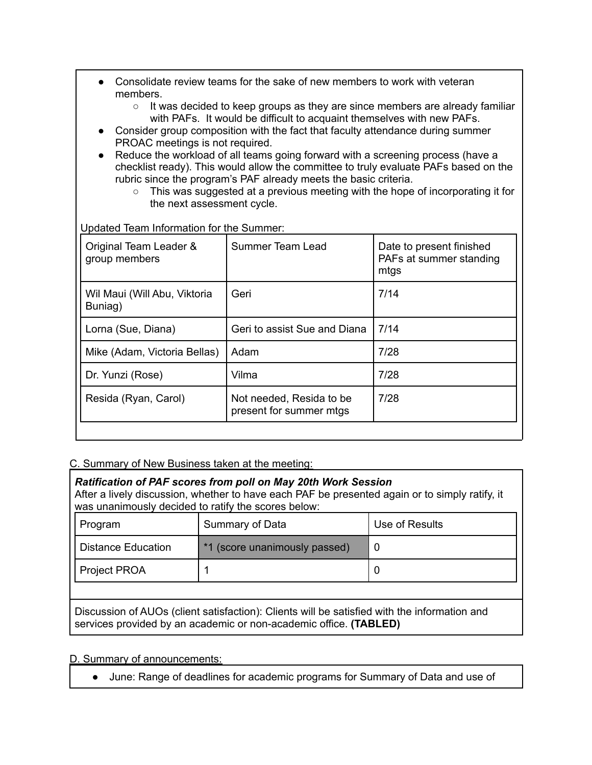- Consolidate review teams for the sake of new members to work with veteran members.
	- It was decided to keep groups as they are since members are already familiar with PAFs. It would be difficult to acquaint themselves with new PAFs.
- Consider group composition with the fact that faculty attendance during summer PROAC meetings is not required.
- Reduce the workload of all teams going forward with a screening process (have a checklist ready). This would allow the committee to truly evaluate PAFs based on the rubric since the program's PAF already meets the basic criteria.
	- This was suggested at a previous meeting with the hope of incorporating it for the next assessment cycle.

Updated Team Information for the Summer:

| Summer Team Lead                                    | Date to present finished<br>PAFs at summer standing<br>mtgs |
|-----------------------------------------------------|-------------------------------------------------------------|
| Geri                                                | 7/14                                                        |
| Geri to assist Sue and Diana                        | 7/14                                                        |
| Adam                                                | 7/28                                                        |
| Vilma                                               | 7/28                                                        |
| Not needed, Resida to be<br>present for summer mtgs | 7/28                                                        |
|                                                     |                                                             |

# C. Summary of New Business taken at the meeting:

# *Ratification of PAF scores from poll on May 20th Work Session*

After a lively discussion, whether to have each PAF be presented again or to simply ratify, it was unanimously decided to ratify the scores below:

| Program                   | Summary of Data               | Use of Results |
|---------------------------|-------------------------------|----------------|
| <b>Distance Education</b> | *1 (score unanimously passed) |                |
| <b>Project PROA</b>       |                               |                |

Discussion of AUOs (client satisfaction): Clients will be satisfied with the information and services provided by an academic or non-academic office. **(TABLED)**

D. Summary of announcements:

● June: Range of deadlines for academic programs for Summary of Data and use of